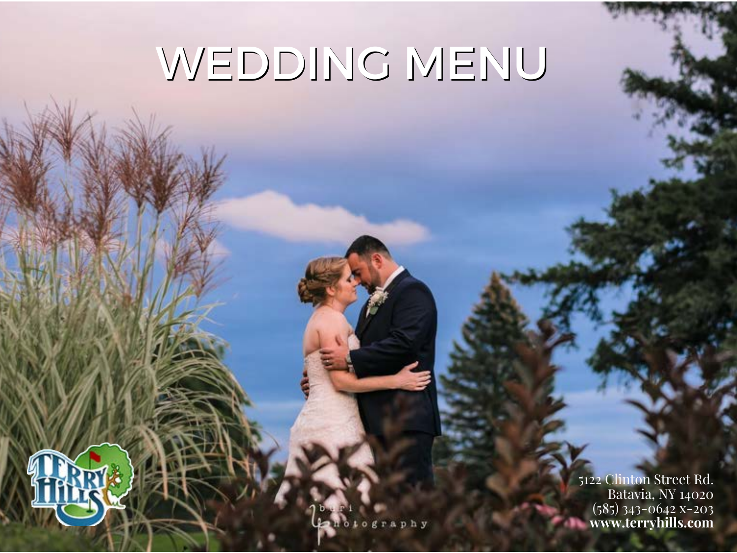# WEDDING MENU

5122 Clinton Street Rd. Batavia, NY 14020 (585) 343-0642 x-203 **www.terryhills.com**ኈ

otography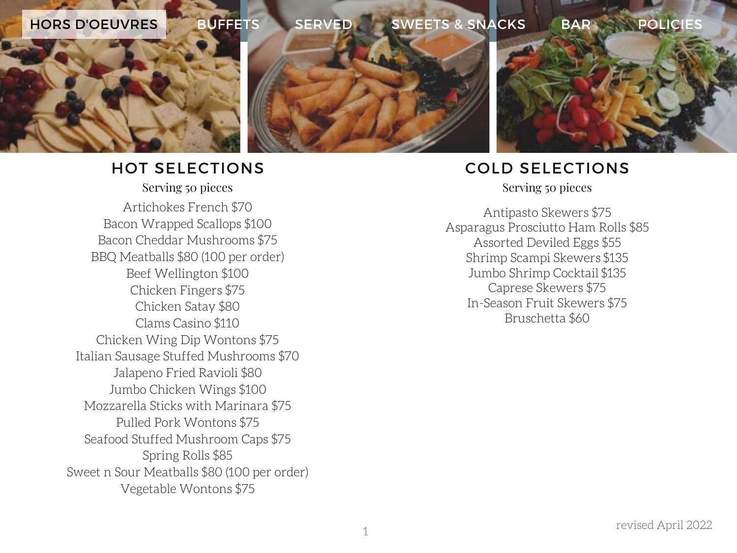

#### HOT SELECTIONS Serving 50 pieces Serving 50 pieces

Artichokes French \$70 Bacon Wrapped Scallops \$100 Bacon Cheddar Mushrooms \$75 BBQ Meatballs \$80 (100 per order) Beef Wellington \$100 Chicken Fingers \$75 Chicken Satay \$80 Clams Casino \$110 Chicken Wing Dip Wontons \$75 Italian Sausage Stuffed Mushrooms \$70 Jalapeno Fried Ravioli \$80 Jumbo Chicken Wings \$100 Mozzarella Sticks with Marinara \$75 Pulled Pork Wontons \$75 Seafood Stuffed Mushroom Caps \$75 Spring Rolls \$85 Sweet n Sour Meatballs \$80 (100 per order) Vegetable Wontons \$75

# COLD SELECTIONS

Antipasto Skewers \$75 Asparagus Prosciutto Ham Rolls \$85 Assorted Deviled Eggs \$55 Shrimp Scampi Skewers \$135 Jumbo Shrimp Cocktail \$135 Caprese Skewers \$75 In-Season Fruit Skewers \$75 Bruschetta \$60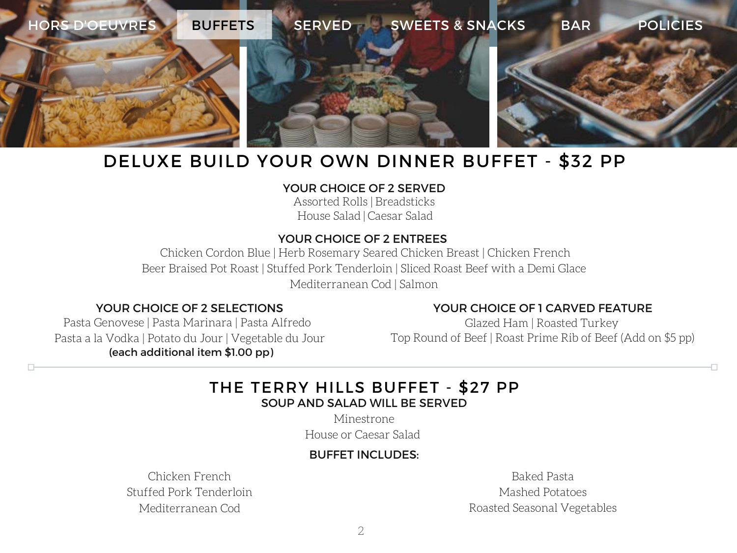

# DELUXE BUILD YOUR OWN DINNER BUFFET - \$32 PP

#### YOUR CHOICE OF 2 SERVED

Assorted Rolls | Breadsticks House Salad | Caesar Salad

#### YOUR CHOICE OF 2 ENTREES

Chicken Cordon Blue | Herb Rosemary Seared Chicken Breast | Chicken French Beer Braised Pot Roast | Stuffed Pork Tenderloin | Sliced Roast Beef with a Demi Glace Mediterranean Cod | Salmon

#### YOUR CHOICE OF 2 SELECTIONS

Pasta Genovese | Pasta Marinara | Pasta Alfredo Pasta a la Vodka | Potato du Jour | Vegetable du Jour (each additional item \$1.00 pp)

#### YOUR CHOICE OF 1 CARVED FEATURE

Glazed Ham | Roasted Turkey Top Round of Beef | Roast Prime Rib of Beef (Add on \$5 pp)

#### THE TERRY HILLS BUFFET - \$27 PP SOUP AND SALAD WILL BE SERVED

Minestrone

House or Caesar Salad

#### BUFFET INCLUDES:

Chicken French Stuffed Pork Tenderloin Mediterranean Cod

Baked Pasta Mashed Potatoes Roasted Seasonal Vegetables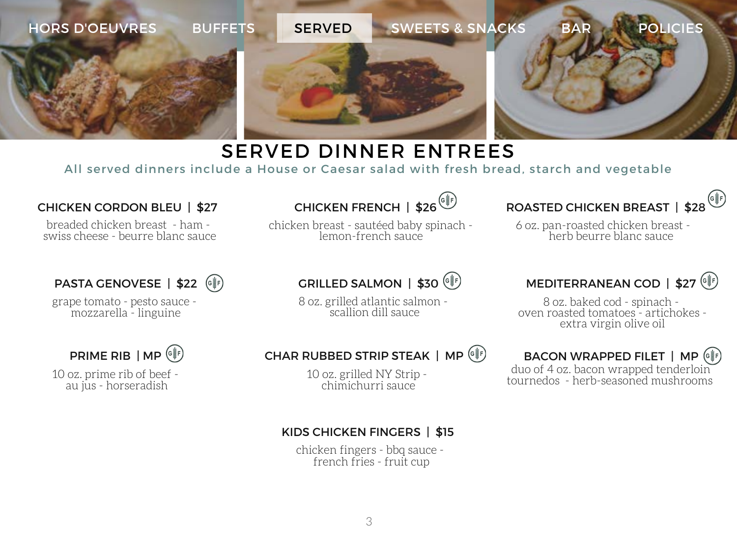

# SERVED DINNER ENTREES

All served dinners include a House or Caesar salad with fresh bread, starch and vegetable

#### CHICKEN CORDON BLEU | \$27

breaded chicken breast - ham swiss cheese - beurre blanc sauce

#### PASTA GENOVESE | \$22 (G\F)

grape tomato - pesto sauce mozzarella - linguine

PRIME RIB | MP ( $e^*$ )

10 oz. prime rib of beef au jus - horseradish

# CHICKEN FRENCH | \$26<sup>(er)</sup>

chicken breast - sautéed baby spinach lemon-french sauce

# GRILLED SALMON | \$30 (

8 oz. grilled atlantic salmon scallion dill sauce

ROASTED CHICKEN BREAST | \$28

6 oz. pan-roasted chicken breast herb beurre blanc sauce

# MEDITERRANEAN COD | \$27<sup>( $\circ$ </sup>)

8 oz. baked cod - spinach oven roasted tomatoes - artichokes extra virgin olive oil

# BACON WRAPPED FILET | MP (G\\g\)

duo of 4 oz. bacon wrapped tenderloin tournedos - herb-seasoned mushrooms

#### CHAR RUBBED STRIP STEAK | MP  $(\frac{1}{2})$

10 oz. grilled NY Strip chimichurri sauce

#### KIDS CHICKEN FINGERS | \$15

chicken fingers - bbq sauce french fries - fruit cup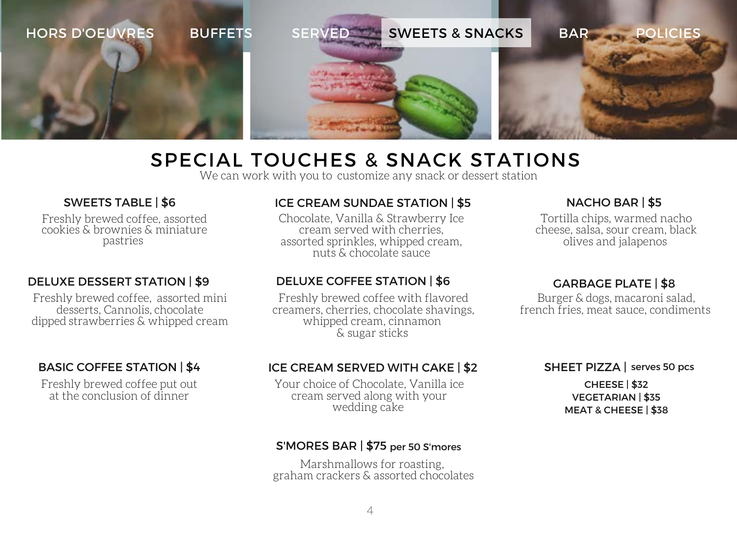

# SPECIAL TOUCHES & SNACK STATIONS

We can work with you to customize any snack or dessert station

#### SWEETS TABLE | \$6

Freshly brewed coffee, assorted cookies & brownies & miniature pastries

#### DELUXE DESSERT STATION | \$9

Freshly brewed coffee, assorted mini desserts, Cannolis, chocolate dipped strawberries & whipped cream

#### BASIC COFFEE STATION | \$4

Freshly brewed coffee put out at the conclusion of dinner

#### ICE CREAM SUNDAE STATION | \$5

Chocolate, Vanilla & Strawberry Ice cream served with cherries, assorted sprinkles, whipped cream, nuts & chocolate sauce

#### DELUXE COFFEE STATION | \$6

Freshly brewed coffee with flavored creamers, cherries, chocolate shavings, whipped cream, cinnamon & sugar sticks

#### ICE CREAM SERVED WITH CAKE | \$2

Your choice of Chocolate, Vanilla ice cream served along with your wedding cake

#### S'MORES BAR | \$75 per 50 S'mores

Marshmallows for roasting, graham crackers & assorted chocolates

#### NACHO BAR | \$5

Tortilla chips, warmed nacho cheese, salsa, sour cream, black olives and jalapenos

#### GARBAGE PLATE | \$8

Burger & dogs, macaroni salad, french fries, meat sauce, condiments

### SHEET PIZZA | serves 50 pcs CHEESE | \$32

VEGETARIAN | \$35 MEAT & CHEESE | \$38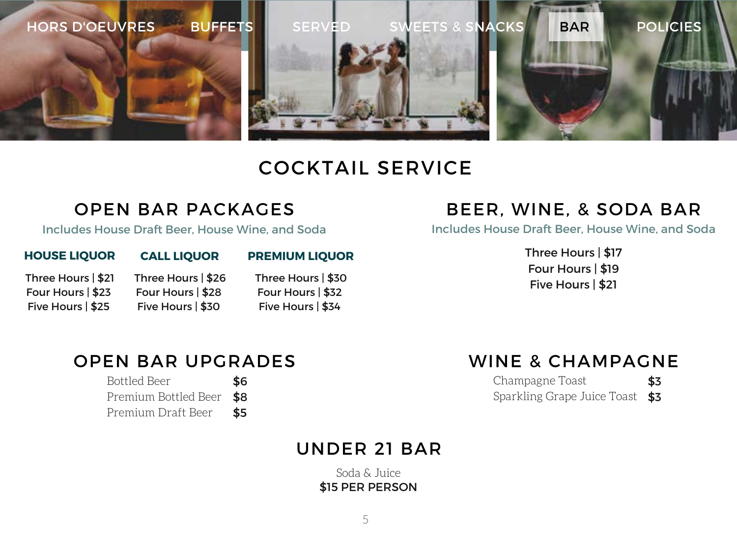

# COCKTAIL SERVICE

### OPEN BAR PACKAGES

Includes House Draft Beer, House Wine, and Soda

#### **HOUSE LIQUOR CALL LIQUOR PREMIUM LIQUOR**

Three Hours | \$21 Four Hours | \$23 Five Hours | \$25

Three Hours | \$26 Four Hours | \$28 Five Hours | \$30

Three Hours | \$30 Four Hours | \$32 Five Hours | \$34

# BEER, WINE, & SODA BAR

Includes House Draft Beer, House Wine, and Soda

Three Hours | \$17 Four Hours | \$19 Five Hours | \$21

# OPEN BAR UPGRADES

| <b>Bottled Beer</b>      | \$6 |
|--------------------------|-----|
| Premium Bottled Beer \$8 |     |
| Premium Draft Beer       | \$5 |

### WINE & CHAMPAGNE

| Champagne Toast                 | \$3 |
|---------------------------------|-----|
| Sparkling Grape Juice Toast \$3 |     |

# UNDER 21 BAR

Soda & Juice \$15 PER PERSON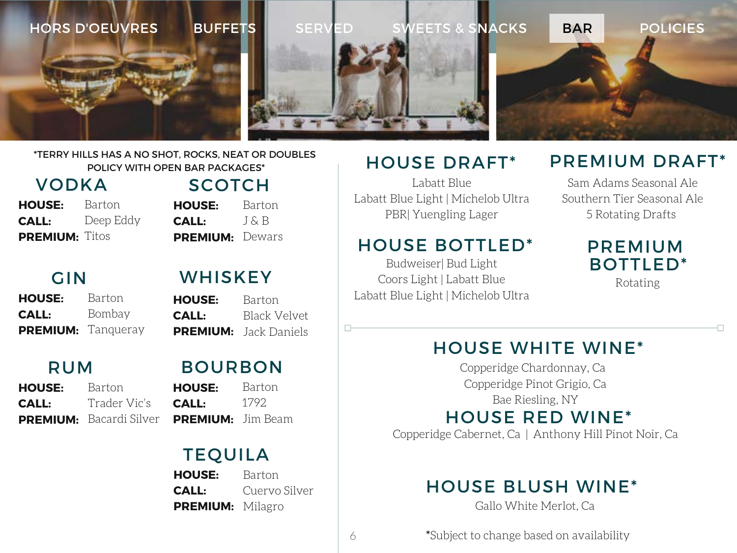

#### \*TERRY HILLS HAS A NO SHOT, ROCKS, NEAT OR DOUBLES POLICY WITH OPEN BAR PACKAGES\*

VODKA Barton Deep Eddy **PREMIUM:** Titos **HOUSE: CALL:**

Barton J & B PREMIUM: Dewars **HOUSE: CALL:**

# GIN

Barton Bombay PREMIUM: Tanqueray **HOUSE: CALL:**

# RUM

Barton Trader Vic's **PREMIUM:** Bacardi Silver **HOUSE: CALL:**

# **WHISKEY**

SCOTCH

Barton Black Velvet **PREMIUM:** Jack Daniels **HOUSE: CALL:**

### BOURBON

Barton 1792 **PREMIUM:** Jim Beam **HOUSE: CALL:**

# TEQUILA

Barton Cuervo Silver PREMIUM: Milagro **HOUSE: CALL:**

# HOUSE DRAFT\*

Labatt Blue Labatt Blue Light | Michelob Ultra PBR| Yuengling Lager

### HOUSE BOTTLED\*

Budweiser| Bud Light Coors Light | Labatt Blue Labatt Blue Light | Michelob Ultra

# PREMIUM DRAFT\*

Sam Adams Seasonal Ale Southern Tier Seasonal Ale 5 Rotating Drafts

# PREMIUM BOTTLED\*

Rotating

HOUSE WHITE WINE\*

Copperidge Chardonnay, Ca Copperidge Pinot Grigio, Ca Bae Riesling, NY

# HOUSE RED WINE\*

Copperidge Cabernet, Ca | Anthony Hill Pinot Noir, Ca

# HOUSE BLUSH WINE\*

Gallo White Merlot, Ca

\*Subject to change based on availability

6

П